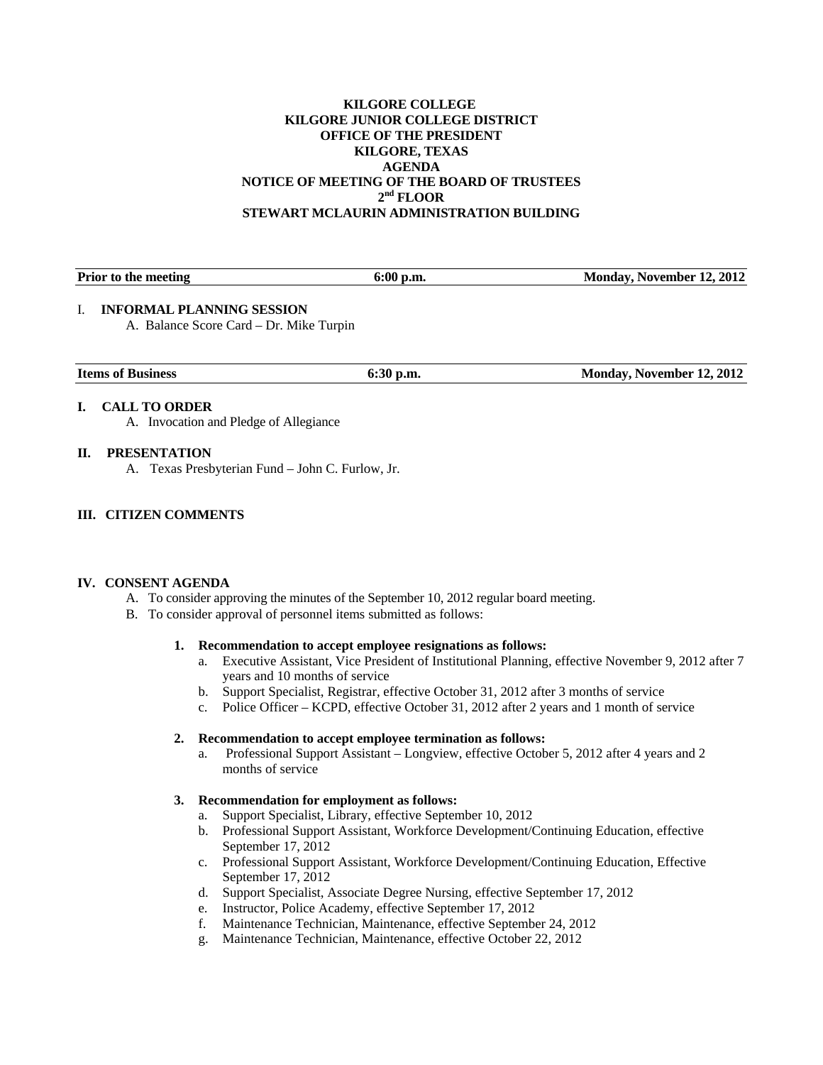### **KILGORE COLLEGE KILGORE JUNIOR COLLEGE DISTRICT OFFICE OF THE PRESIDENT KILGORE, TEXAS AGENDA NOTICE OF MEETING OF THE BOARD OF TRUSTEES 2nd FLOOR STEWART MCLAURIN ADMINISTRATION BUILDING**

| <b>Prior to the meeting</b>             | $6:00$ p.m. | Monday, November 12, 2012 |
|-----------------------------------------|-------------|---------------------------|
| <b>INFORMAL PLANNING SESSION</b>        |             |                           |
| A. Balance Score Card – Dr. Mike Turpin |             |                           |

# **I. CALL TO ORDER**

A. Invocation and Pledge of Allegiance

#### **II. PRESENTATION**

A. Texas Presbyterian Fund – John C. Furlow, Jr.

#### **III. CITIZEN COMMENTS**

#### **IV. CONSENT AGENDA**

- A. To consider approving the minutes of the September 10, 2012 regular board meeting.
- B. To consider approval of personnel items submitted as follows:

# **1. Recommendation to accept employee resignations as follows:**

- a. Executive Assistant, Vice President of Institutional Planning, effective November 9, 2012 after 7 years and 10 months of service
- b. Support Specialist, Registrar, effective October 31, 2012 after 3 months of service
- c. Police Officer KCPD, effective October 31, 2012 after 2 years and 1 month of service

#### **2. Recommendation to accept employee termination as follows:**

a. Professional Support Assistant – Longview, effective October 5, 2012 after 4 years and 2 months of service

#### **3. Recommendation for employment as follows:**

- a. Support Specialist, Library, effective September 10, 2012
- b. Professional Support Assistant, Workforce Development/Continuing Education, effective September 17, 2012
- c. Professional Support Assistant, Workforce Development/Continuing Education, Effective September 17, 2012
- d. Support Specialist, Associate Degree Nursing, effective September 17, 2012
- e. Instructor, Police Academy, effective September 17, 2012
- f. Maintenance Technician, Maintenance, effective September 24, 2012
- g. Maintenance Technician, Maintenance, effective October 22, 2012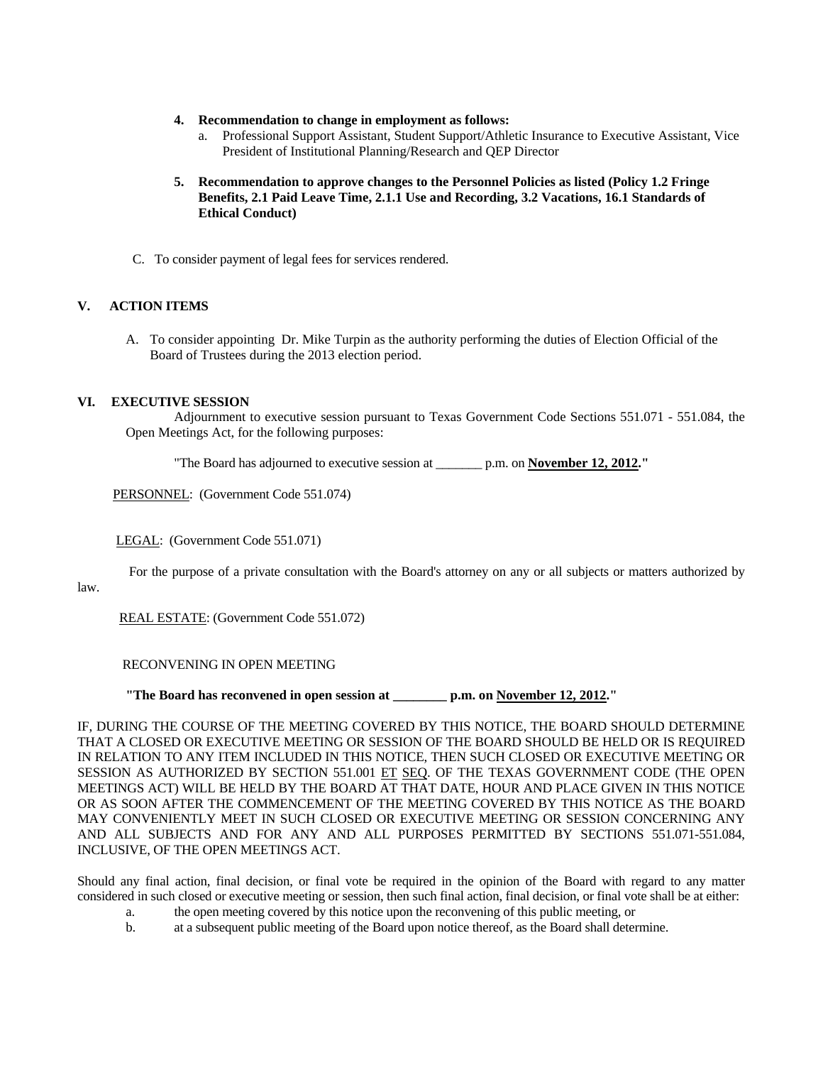- **4. Recommendation to change in employment as follows:** 
	- a. Professional Support Assistant, Student Support/Athletic Insurance to Executive Assistant, Vice President of Institutional Planning/Research and QEP Director
- **5. Recommendation to approve changes to the Personnel Policies as listed (Policy 1.2 Fringe Benefits, 2.1 Paid Leave Time, 2.1.1 Use and Recording, 3.2 Vacations, 16.1 Standards of Ethical Conduct)**
- C. To consider payment of legal fees for services rendered.

#### **V. ACTION ITEMS**

A. To consider appointing Dr. Mike Turpin as the authority performing the duties of Election Official of the Board of Trustees during the 2013 election period.

#### **VI. EXECUTIVE SESSION**

 Adjournment to executive session pursuant to Texas Government Code Sections 551.071 - 551.084, the Open Meetings Act, for the following purposes:

"The Board has adjourned to executive session at \_\_\_\_\_\_\_ p.m. on **November 12, 2012."** 

PERSONNEL: (Government Code 551.074)

#### LEGAL: (Government Code 551.071)

For the purpose of a private consultation with the Board's attorney on any or all subjects or matters authorized by

law.

REAL ESTATE: (Government Code 551.072)

RECONVENING IN OPEN MEETING

 **"The Board has reconvened in open session at \_\_\_\_\_\_\_\_ p.m. on November 12, 2012."** 

IF, DURING THE COURSE OF THE MEETING COVERED BY THIS NOTICE, THE BOARD SHOULD DETERMINE THAT A CLOSED OR EXECUTIVE MEETING OR SESSION OF THE BOARD SHOULD BE HELD OR IS REQUIRED IN RELATION TO ANY ITEM INCLUDED IN THIS NOTICE, THEN SUCH CLOSED OR EXECUTIVE MEETING OR SESSION AS AUTHORIZED BY SECTION 551.001 ET SEQ. OF THE TEXAS GOVERNMENT CODE (THE OPEN MEETINGS ACT) WILL BE HELD BY THE BOARD AT THAT DATE, HOUR AND PLACE GIVEN IN THIS NOTICE OR AS SOON AFTER THE COMMENCEMENT OF THE MEETING COVERED BY THIS NOTICE AS THE BOARD MAY CONVENIENTLY MEET IN SUCH CLOSED OR EXECUTIVE MEETING OR SESSION CONCERNING ANY AND ALL SUBJECTS AND FOR ANY AND ALL PURPOSES PERMITTED BY SECTIONS 551.071-551.084, INCLUSIVE, OF THE OPEN MEETINGS ACT.

Should any final action, final decision, or final vote be required in the opinion of the Board with regard to any matter considered in such closed or executive meeting or session, then such final action, final decision, or final vote shall be at either:

- a. the open meeting covered by this notice upon the reconvening of this public meeting, or
- b. at a subsequent public meeting of the Board upon notice thereof, as the Board shall determine.